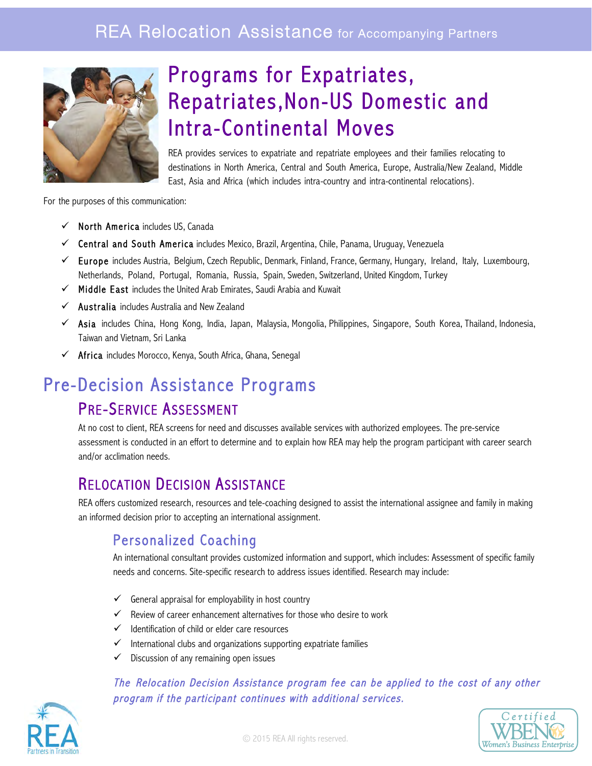

# Programs for Expatriates, Repatriates,Non-US Domestic and **Intra-Continental Moves**<br>REA provides services to expatriate and repatriate employees and their families relocating to

destinations in North America, Central and South America, Europe, Australia/New Zealand, Middle East, Asia and Africa (which includes intra-country and intra-continental relocations).

For the purposes of this communication:

- $\checkmark$  North America includes US, Canada
- $\checkmark$  Central and South America includes Mexico, Brazil, Argentina, Chile, Panama, Uruguay, Venezuela
- $\checkmark$  Europe includes Austria, Belgium, Czech Republic, Denmark, Finland, France, Germany, Hungary, Ireland, Italy, Luxembourg, Netherlands, Poland, Portugal, Romania, Russia, Spain, Sweden, Switzerland, United Kingdom, Turkey
- $\checkmark$  Middle East includes the United Arab Emirates, Saudi Arabia and Kuwait
- $\checkmark$  Australia includes Australia and New Zealand
- $\checkmark$  Asia includes China, Hong Kong, India, Japan, Malaysia, Mongolia, Philippines, Singapore, South Korea, Thailand, Indonesia, Taiwan and Vietnam, Sri Lanka
- $\checkmark$  Africa includes Morocco, Kenya, South Africa, Ghana, Senegal

# Pre-Decision Assistance Programs

PRE-SERVICE ASSESSMENT<br>At no cost to client, REA screens for need and discusses available services with authorized employees. The pre-service assessment is conducted in an effort to determine and to explain how REA may help the program participant with career search and/or acclimation needs.

RELOCATION DECISION ASSISTANCE<br>REA offers customized research, resources and tele-coaching designed to assist the international assignee and family in making an informed decision prior to accepting an international assignment.

#### Personalized Coaching

An international consultant provides customized information and support, which includes: Assessment of specific family needs and concerns. Site-specific research to address issues identified. Research may include:

- $\checkmark$  General appraisal for employability in host country
- $\checkmark$  Review of career enhancement alternatives for those who desire to work
- $\checkmark$  Identification of child or elder care resources
- $\checkmark$  International clubs and organizations supporting expatriate families
- $\checkmark$  Discussion of any remaining open issues

#### The Relocation Decision Assistance program fee can be applied to the cost of any other program if the participant continues with additional services.



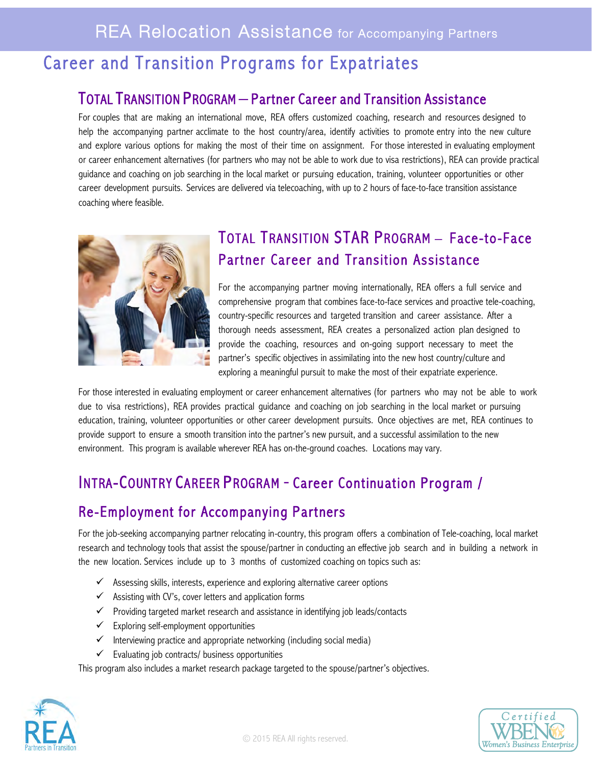# Career and Transition Programs for Expatriates

#### TOTAL TRANSITION PROGRAM – Partner Career and Transition Assistance

For couples that are making an international move, REA offers customized coaching, research and resources designed to help the accompanying partner acclimate to the host country/area, identify activities to promote entry into the new culture and explore various options for making the most of their time on assignment. For those interested in evaluating employment or career enhancement alternatives (for partners who may not be able to work due to visa restrictions), REA can provide practical guidance and coaching on job searching in the local market or pursuing education, training, volunteer opportunities or other career development pursuits. Services are delivered via telecoaching, with up to 2 hours of face-to-face transition assistance coaching where feasible.



## TOTAL TRANSITION STAR PROGRAM – Face-to-Face Partner Career and Transition Assistance

For the accompanying partner moving internationally, REA offers a full service and comprehensive program that combines face-to-face services and proactive tele-coaching, country-specific resources and targeted transition and career assistance. After a thorough needs assessment, REA creates a personalized action plan designed to provide the coaching, resources and on-going support necessary to meet the partner's specific objectives in assimilating into the new host country/culture and exploring a meaningful pursuit to make the most of their expatriate experience.

For those interested in evaluating employment or career enhancement alternatives (for partners who may not be able to work due to visa restrictions), REA provides practical guidance and coaching on job searching in the local market or pursuing education, training, volunteer opportunities or other career development pursuits. Once objectives are met, REA continues to provide support to ensure a smooth transition into the partner's new pursuit, and a successful assimilation to the new environment. This program is available wherever REA has on-the-ground coaches. Locations may vary.

### INTRA-COUNTRY CAREER PROGRAM - Career Continuation Program /

#### Re-Employment for Accompanying Partners

For the job-seeking accompanying partner relocating in-country, this program offers a combination of Tele-coaching, local market research and technology tools that assist the spouse/partner in conducting an effective job search and in building a network in the new location. Services include up to 3 months of customized coaching on topics such as:

- $\checkmark$  Assessing skills, interests, experience and exploring alternative career options
- $\checkmark$  Assisting with CV's, cover letters and application forms
- $\checkmark$  Providing targeted market research and assistance in identifying job leads/contacts
- $\checkmark$  Exploring self-employment opportunities
- $\checkmark$  Interviewing practice and appropriate networking (including social media)
- $\checkmark$  Evaluating job contracts/ business opportunities

This program also includes a market research package targeted to the spouse/partner's objectives.